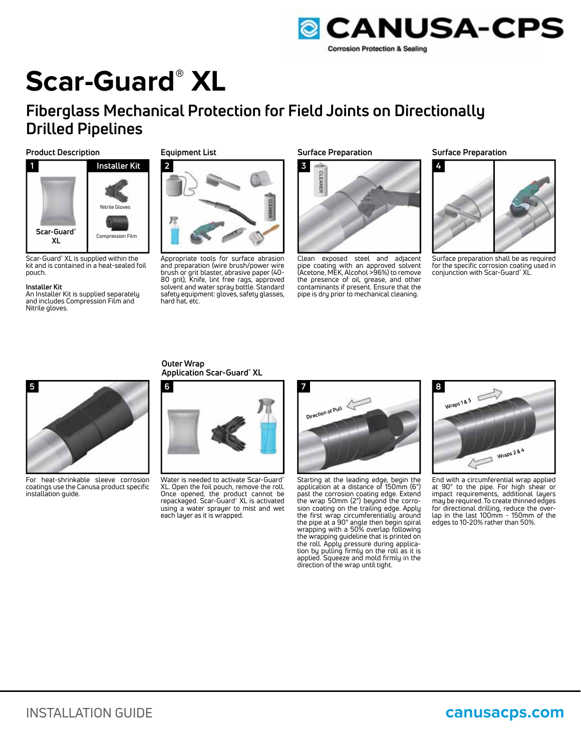

# **Scar-Guard® XL**

## **Fiberglass Mechanical Protection for Field Joints on Directionally Drilled Pipelines**

#### **Product Description Surface Preparation Surface Preparation**



Scar-Guard® XL is supplied within the kit and is contained in a heat-sealed foil pouch.

#### **Installer Kit**

An Installer Kit is supplied separately and includes Compression Film and Nitrile gloves.

#### **Equipment List**



Appropriate tools for surface abrasion and preparation (wire brush/power wire brush or grit blaster, abrasive paper (40- 80 grit), Knife, lint free rags, approved solvent and water spray bottle. Standard safety equipment: gloves, safety glasses, hard hat, etc.



Clean exposed steel and adjacent pipe coating with an approved solvent<br>(Acetone, MEK, Alcohol >96%) to remove the presence of oil, grease, and other contaminants if present. Ensure that the pipe is dry prior to mechanical cleaning.



Surface preparation shall be as required for the specific corrosion coating used in conjunction with Scar-Guard® XL.



For heat-shrinkable sleeve corrosion coatings use the Canusa product specific installation guide.

**Outer Wrap Application Scar-Guard® XL**



Water is needed to activate Scar-Guard® XL. Open the foil pouch, remove the roll. Once opened, the product cannot be repackaged. Scar-Guard® XL is activated using a water sprayer to mist and wet each layer as it is wrapped.



Starting at the leading edge, begin the application at a distance of 150mm (6") past the corrosion coating edge. Extend the wrap 50mm (2") beyond the corrosion coating on the trailing edge. Apply the first wrap circumferentially around the pipe at a 90° angle then begin spiral wrapping with a 50% overlap following the wrapping guideline that is printed on the roll. Apply pressure during applica-tion by pulling firmly on the roll as it is applied. Squeeze and mold firmly in the direction of the wrap until tight.



End with a circumferential wrap applied at 90° to the pipe. For high shear or impact requirements, additional layers may be required. To create thinned edges for directional drilling, reduce the overlap in the last 100mm - 150mm of the edges to 10-20% rather than 50%.